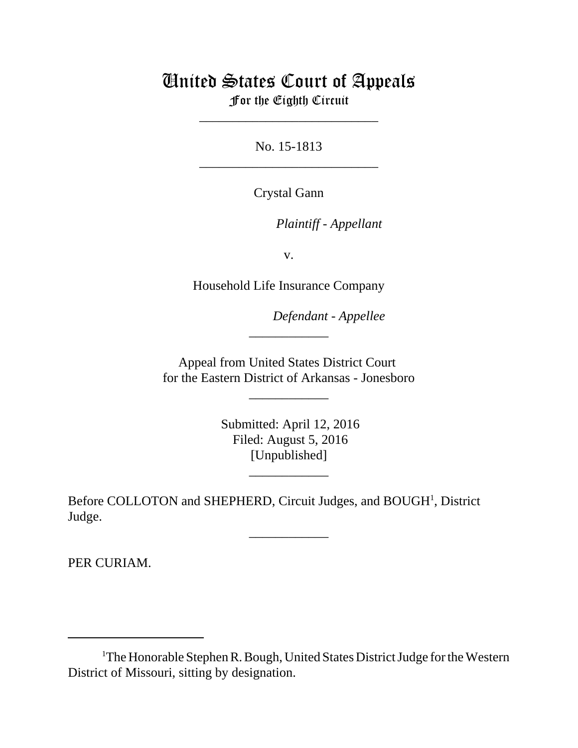## United States Court of Appeals For the Eighth Circuit

\_\_\_\_\_\_\_\_\_\_\_\_\_\_\_\_\_\_\_\_\_\_\_\_\_\_\_

No. 15-1813 \_\_\_\_\_\_\_\_\_\_\_\_\_\_\_\_\_\_\_\_\_\_\_\_\_\_\_

Crystal Gann

lllllllllllllllllllll *Plaintiff - Appellant*

v.

Household Life Insurance Company

 $Defendant$  - Appellee

Appeal from United States District Court for the Eastern District of Arkansas - Jonesboro

\_\_\_\_\_\_\_\_\_\_\_\_

\_\_\_\_\_\_\_\_\_\_\_\_

 Submitted: April 12, 2016 Filed: August 5, 2016 [Unpublished]

\_\_\_\_\_\_\_\_\_\_\_\_

\_\_\_\_\_\_\_\_\_\_\_\_

Before COLLOTON and SHEPHERD, Circuit Judges, and BOUGH<sup>1</sup>, District Judge.

PER CURIAM.

<sup>&</sup>lt;sup>1</sup>The Honorable Stephen R. Bough, United States District Judge for the Western District of Missouri, sitting by designation.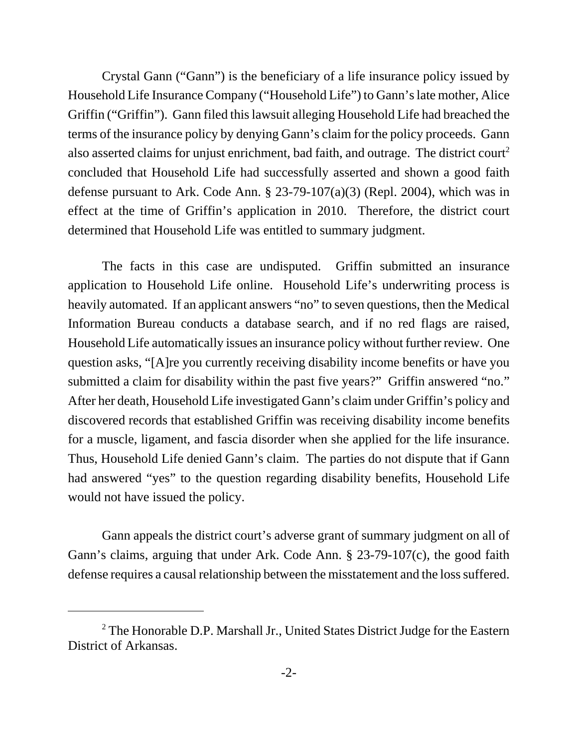Crystal Gann ("Gann") is the beneficiary of a life insurance policy issued by Household Life Insurance Company ("Household Life") to Gann's late mother, Alice Griffin ("Griffin"). Gann filed this lawsuit alleging Household Life had breached the terms of the insurance policy by denying Gann's claim for the policy proceeds. Gann also asserted claims for unjust enrichment, bad faith, and outrage. The district court<sup>2</sup> concluded that Household Life had successfully asserted and shown a good faith defense pursuant to Ark. Code Ann. § 23-79-107(a)(3) (Repl. 2004), which was in effect at the time of Griffin's application in 2010. Therefore, the district court determined that Household Life was entitled to summary judgment.

The facts in this case are undisputed. Griffin submitted an insurance application to Household Life online. Household Life's underwriting process is heavily automated. If an applicant answers "no" to seven questions, then the Medical Information Bureau conducts a database search, and if no red flags are raised, Household Life automatically issues an insurance policy without further review. One question asks, "[A]re you currently receiving disability income benefits or have you submitted a claim for disability within the past five years?" Griffin answered "no." After her death, Household Life investigated Gann's claim under Griffin's policy and discovered records that established Griffin was receiving disability income benefits for a muscle, ligament, and fascia disorder when she applied for the life insurance. Thus, Household Life denied Gann's claim. The parties do not dispute that if Gann had answered "yes" to the question regarding disability benefits, Household Life would not have issued the policy.

Gann appeals the district court's adverse grant of summary judgment on all of Gann's claims, arguing that under Ark. Code Ann. § 23-79-107(c), the good faith defense requires a causal relationship between the misstatement and the loss suffered.

<sup>&</sup>lt;sup>2</sup> The Honorable D.P. Marshall Jr., United States District Judge for the Eastern District of Arkansas.